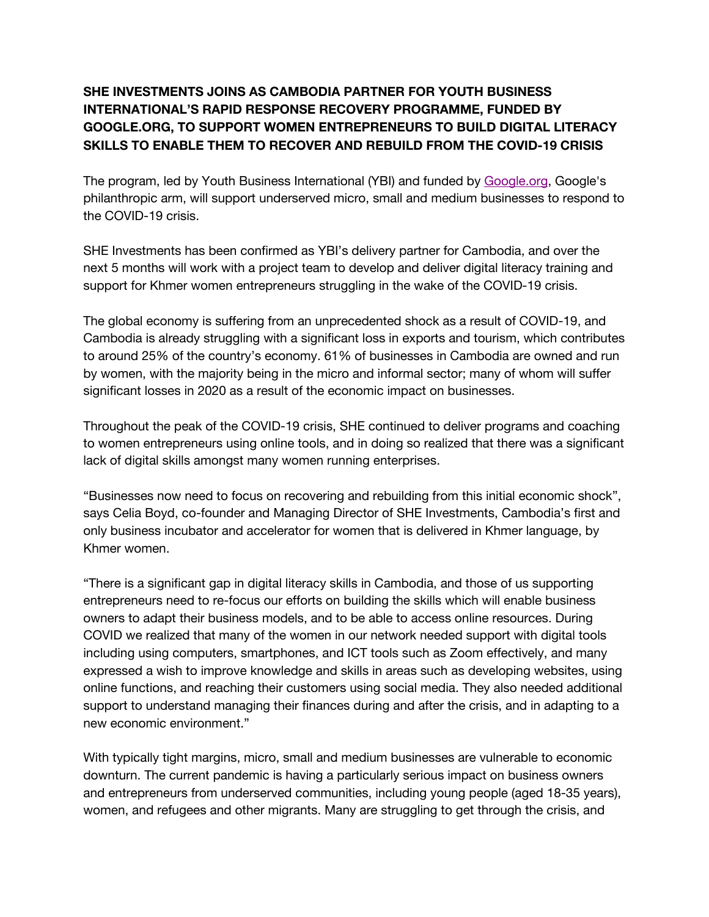# **SHE INVESTMENTS JOINS AS CAMBODIA PARTNER FOR YOUTH BUSINESS INTERNATIONAL'S RAPID RESPONSE RECOVERY PROGRAMME, FUNDED BY GOOGLE.ORG, TO SUPPORT WOMEN ENTREPRENEURS TO BUILD DIGITAL LITERACY SKILLS TO ENABLE THEM TO RECOVER AND REBUILD FROM THE COVID-19 CRISIS**

The program, led by Youth Business International (YBI) and funded by Google.org, Google's philanthropic arm, will support underserved micro, small and medium businesses to respond to the COVID-19 crisis.

SHE Investments has been confirmed as YBI's delivery partner for Cambodia, and over the next 5 months will work with a project team to develop and deliver digital literacy training and support for Khmer women entrepreneurs struggling in the wake of the COVID-19 crisis.

The global economy is suffering from an unprecedented shock as a result of COVID-19, and Cambodia is already struggling with a significant loss in exports and tourism, which contributes to around 25% of the country's economy. 61% of businesses in Cambodia are owned and run by women, with the majority being in the micro and informal sector; many of whom will suffer significant losses in 2020 as a result of the economic impact on businesses.

Throughout the peak of the COVID-19 crisis, SHE continued to deliver programs and coaching to women entrepreneurs using online tools, and in doing so realized that there was a significant lack of digital skills amongst many women running enterprises.

"Businesses now need to focus on recovering and rebuilding from this initial economic shock", says Celia Boyd, co-founder and Managing Director of SHE Investments, Cambodia's first and only business incubator and accelerator for women that is delivered in Khmer language, by Khmer women.

"There is a significant gap in digital literacy skills in Cambodia, and those of us supporting entrepreneurs need to re-focus our efforts on building the skills which will enable business owners to adapt their business models, and to be able to access online resources. During COVID we realized that many of the women in our network needed support with digital tools including using computers, smartphones, and ICT tools such as Zoom effectively, and many expressed a wish to improve knowledge and skills in areas such as developing websites, using online functions, and reaching their customers using social media. They also needed additional support to understand managing their finances during and after the crisis, and in adapting to a new economic environment."

With typically tight margins, micro, small and medium businesses are vulnerable to economic downturn. The current pandemic is having a particularly serious impact on business owners and entrepreneurs from underserved communities, including young people (aged 18-35 years), women, and refugees and other migrants. Many are struggling to get through the crisis, and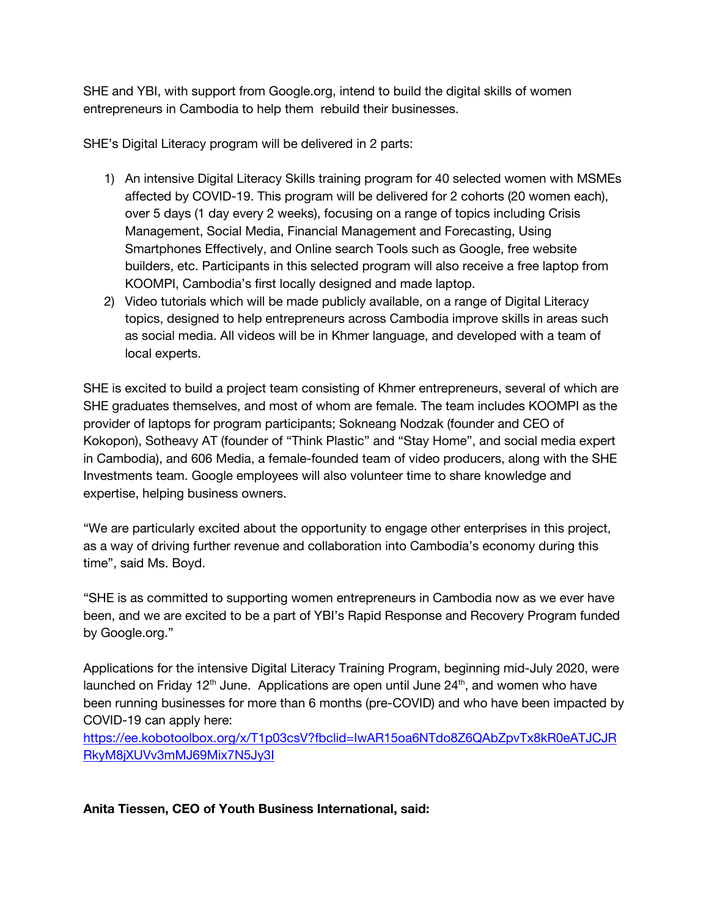SHE and YBI, with support from Google.org, intend to build the digital skills of women entrepreneurs in Cambodia to help them rebuild their businesses.

SHE's Digital Literacy program will be delivered in 2 parts:

- 1) An intensive Digital Literacy Skills training program for 40 selected women with MSMEs affected by COVID-19. This program will be delivered for 2 cohorts (20 women each), over 5 days (1 day every 2 weeks), focusing on a range of topics including Crisis Management, Social Media, Financial Management and Forecasting, Using Smartphones Effectively, and Online search Tools such as Google, free website builders, etc. Participants in this selected program will also receive a free laptop from KOOMPI, Cambodia's first locally designed and made laptop.
- 2) Video tutorials which will be made publicly available, on a range of Digital Literacy topics, designed to help entrepreneurs across Cambodia improve skills in areas such as social media. All videos will be in Khmer language, and developed with a team of local experts.

SHE is excited to build a project team consisting of Khmer entrepreneurs, several of which are SHE graduates themselves, and most of whom are female. The team includes KOOMPI as the provider of laptops for program participants; Sokneang Nodzak (founder and CEO of Kokopon), Sotheavy AT (founder of "Think Plastic" and "Stay Home", and social media expert in Cambodia), and 606 Media, a female-founded team of video producers, along with the SHE Investments team. Google employees will also volunteer time to share knowledge and expertise, helping business owners.

"We are particularly excited about the opportunity to engage other enterprises in this project, as a way of driving further revenue and collaboration into Cambodia's economy during this time", said Ms. Boyd.

"SHE is as committed to supporting women entrepreneurs in Cambodia now as we ever have been, and we are excited to be a part of YBI's Rapid Response and Recovery Program funded by Google.org."

Applications for the intensive Digital Literacy Training Program, beginning mid-July 2020, were launched on Friday 12<sup>th</sup> June. Applications are open until June  $24<sup>th</sup>$ , and women who have been running businesses for more than 6 months (pre-COVID) and who have been impacted by COVID-19 can apply here:

https://ee.kobotoolbox.org/x/T1p03csV?fbclid=IwAR15oa6NTdo8Z6QAbZpvTx8kR0eATJCJR RkyM8jXUVv3mMJ69Mix7N5Jy3I

**Anita Tiessen, CEO of Youth Business International, said:**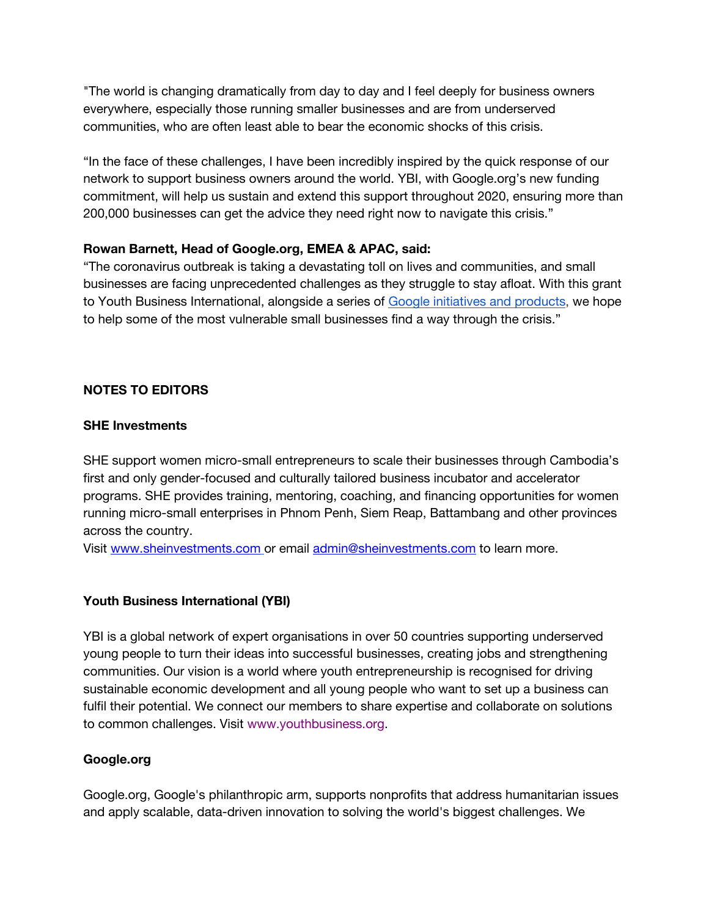"The world is changing dramatically from day to day and I feel deeply for business owners everywhere, especially those running smaller businesses and are from underserved communities, who are often least able to bear the economic shocks of this crisis.

"In the face of these challenges, I have been incredibly inspired by the quick response of our network to support business owners around the world. YBI, with Google.org's new funding commitment, will help us sustain and extend this support throughout 2020, ensuring more than 200,000 businesses can get the advice they need right now to navigate this crisis."

### **Rowan Barnett, Head of Google.org, EMEA & APAC, said:**

"The coronavirus outbreak is taking a devastating toll on lives and communities, and small businesses are facing unprecedented challenges as they struggle to stay afloat. With this grant to Youth Business International, alongside a series of Google initiatives and products, we hope to help some of the most vulnerable small businesses find a way through the crisis."

## **NOTES TO EDITORS**

#### **SHE Investments**

SHE support women micro-small entrepreneurs to scale their businesses through Cambodia's first and only gender-focused and culturally tailored business incubator and accelerator programs. SHE provides training, mentoring, coaching, and financing opportunities for women running micro-small enterprises in Phnom Penh, Siem Reap, Battambang and other provinces across the country.

Visit www.sheinvestments.com or email admin@sheinvestments.com to learn more.

## **Youth Business International (YBI)**

YBI is a global network of expert organisations in over 50 countries supporting underserved young people to turn their ideas into successful businesses, creating jobs and strengthening communities. Our vision is a world where youth entrepreneurship is recognised for driving sustainable economic development and all young people who want to set up a business can fulfil their potential. We connect our members to share expertise and collaborate on solutions to common challenges. Visit www.youthbusiness.org.

## **Google.org**

Google.org, Google's philanthropic arm, supports nonprofits that address humanitarian issues and apply scalable, data-driven innovation to solving the world's biggest challenges. We